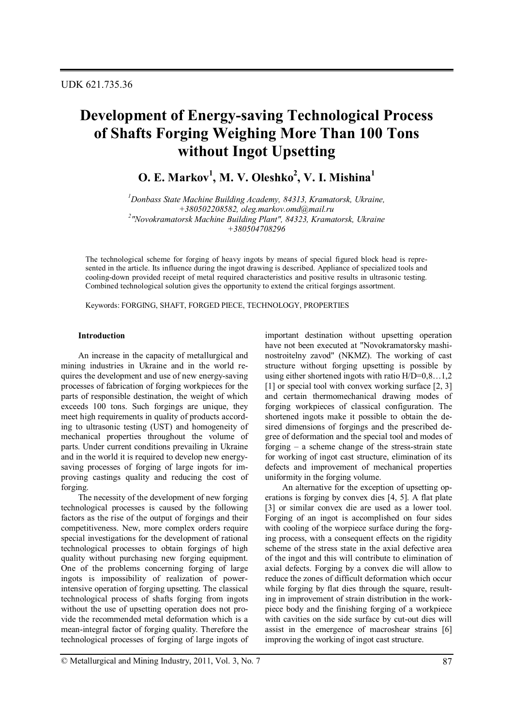# **Development of Energy-saving Technological Process of Shafts Forging Weighing More Than 100 Tons without Ingot Upsetting**

**O. E. Markov<sup>1</sup> , M. V. Oleshko<sup>2</sup> , V. I. Mishina<sup>1</sup>**

*<sup>1</sup>Donbass State Machine Building Academy, 84313, Kramatorsk, Ukraine, +380502208582, oleg.markov.omd@mail.ru 2 "Novokramatorsk Machine Building Plant", 84323, Kramatorsk, Ukraine +380504708296*

The technological scheme for forging of heavy ingots by means of special figured block head is represented in the article. Its influence during the ingot drawing is described. Appliance of specialized tools and cooling-down provided receipt of metal required characteristics and positive results in ultrasonic testing. Combined technological solution gives the opportunity to extend the critical forgings assortment.

Keywords: FORGING, SHAFT, FORGED PIECE, TECHNOLOGY, PROPERTIES

### **Introduction**

An increase in the capacity of metallurgical and mining industries in Ukraine and in the world requires the development and use of new energy-saving processes of fabrication of forging workpieces for the parts of responsible destination, the weight of which exceeds 100 tons. Such forgings are unique, they meet high requirements in quality of products according to ultrasonic testing (UST) and homogeneity of mechanical properties throughout the volume of parts. Under current conditions prevailing in Ukraine and in the world it is required to develop new energysaving processes of forging of large ingots for improving castings quality and reducing the cost of forging.

The necessity of the development of new forging technological processes is caused by the following factors as the rise of the output of forgings and their competitiveness. New, more complex orders require special investigations for the development of rational technological processes to obtain forgings of high quality without purchasing new forging equipment. One of the problems concerning forging of large ingots is impossibility of realization of powerintensive operation of forging upsetting. The classical technological process of shafts forging from ingots without the use of upsetting operation does not provide the recommended metal deformation which is a mean-integral factor of forging quality. Therefore the technological processes of forging of large ingots of important destination without upsetting operation have not been executed at "Novokramatorsky mashinostroitelny zavod" (NKMZ). The working of cast structure without forging upsetting is possible by using either shortened ingots with ratio  $H/D=0.8...1,2$ [1] or special tool with convex working surface [2, 3] and certain thermomechanical drawing modes of forging workpieces of classical configuration. The shortened ingots make it possible to obtain the desired dimensions of forgings and the prescribed degree of deformation and the special tool and modes of forging – a scheme change of the stress-strain state for working of ingot cast structure, elimination of its defects and improvement of mechanical properties uniformity in the forging volume.

An alternative for the exception of upsetting operations is forging by convex dies [4, 5]. A flat plate [3] or similar convex die are used as a lower tool. Forging of an ingot is accomplished on four sides with cooling of the worpiece surface during the forging process, with a consequent effects on the rigidity scheme of the stress state in the axial defective area of the ingot and this will contribute to elimination of axial defects. Forging by a convex die will allow to reduce the zones of difficult deformation which occur while forging by flat dies through the square, resulting in improvement of strain distribution in the workpiece body and the finishing forging of a workpiece with cavities on the side surface by cut-out dies will assist in the emergence of macroshear strains [6] improving the working of ingot cast structure.

© Metallurgical and Mining Industry, 2011, Vol. 3, No. 7 87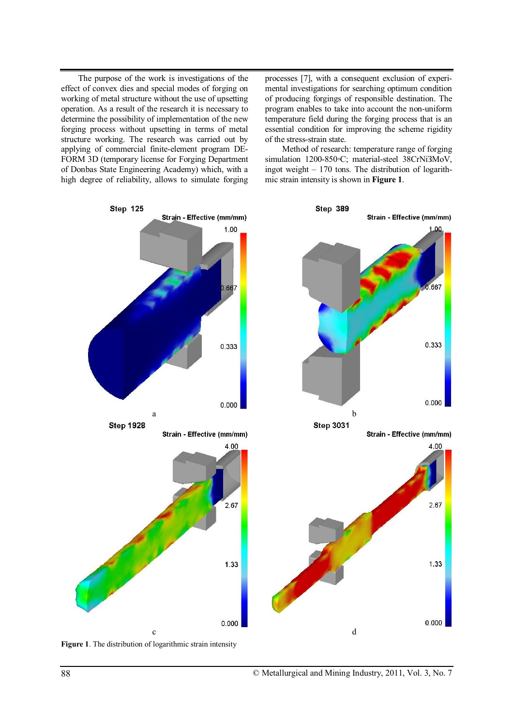The purpose of the work is investigations of the effect of convex dies and special modes of forging on working of metal structure without the use of upsetting operation. As a result of the research it is necessary to determine the possibility of implementation of the new forging process without upsetting in terms of metal structure working. The research was carried out by applying of commercial finite-element program DE-FORM 3D (temporary license for Forging Department of Donbas State Engineering Academy) which, with a high degree of reliability, allows to simulate forging

processes [7], with a consequent exclusion of experimental investigations for searching optimum condition of producing forgings of responsible destination. The program enables to take into account the non-uniform temperature field during the forging process that is an essential condition for improving the scheme rigidity of the stress-strain state.

Method of research: temperature range of forging simulation 1200-850◦C; material-steel 38CrNiЗMoV, ingot weight – 170 tons. The distribution of logarithmic strain intensity is shown in **Figure 1**.



**Figure 1**. The distribution of logarithmic strain intensity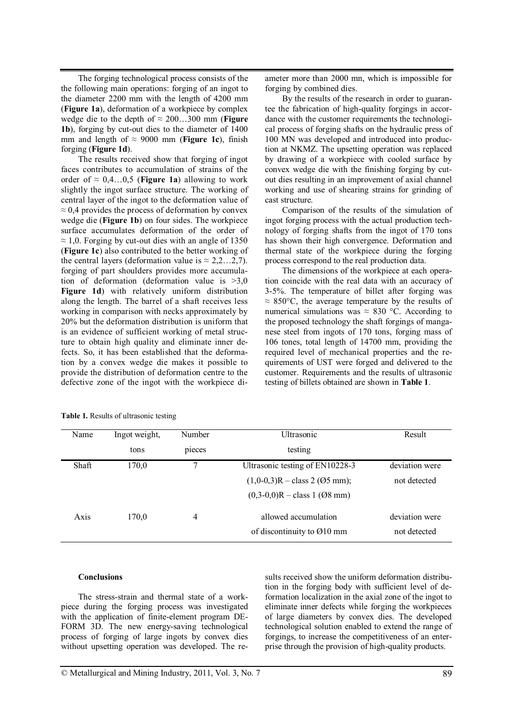The forging technological process consists of the the following main operations: forging of an ingot to the diameter 2200 mm with the length of 4200 mm (**Figure 1a**), deformation of a workpiece by complex wedge die to the depth of ≈ 200…300 mm (**Figure 1b**), forging by cut-out dies to the diameter of 1400 mm and length of  $\approx$  9000 mm (**Figure 1c**), finish forging (**Figure 1d**).

The results received show that forging of ingot faces contributes to accumulation of strains of the order of  $\approx 0,4...0,5$  (**Figure 1a**) allowing to work slightly the ingot surface structure. The working of central layer of the ingot to the deformation value of  $\approx$  0,4 provides the process of deformation by convex wedge die (**Figure 1b**) on four sides. The workpiece surface accumulates deformation of the order of  $\approx$  1,0. Forging by cut-out dies with an angle of 1350 (**Figure 1c**) also contributed to the better working of the central layers (deformation value is  $\approx 2, 2, ..., 2, 7$ ). forging of part shoulders provides more accumulation of deformation (deformation value is  $>3.0$ **Figure 1d**) with relatively uniform distribution along the length. The barrel of a shaft receives less working in comparison with necks approximately by 20% but the deformation distribution is uniform that is an evidence of sufficient working of metal structure to obtain high quality and eliminate inner defects. So, it has been established that the deformation by a convex wedge die makes it possible to provide the distribution of deformation centre to the defective zone of the ingot with the workpiece diameter more than 2000 mn, which is impossible for forging by combined dies.

By the results of the research in order to guarantee the fabrication of high-quality forgings in accordance with the customer requirements the technological process of forging shafts on the hydraulic press of 100 МN was developed and introduced into production at NKMZ. The upsetting operation was replaced by drawing of a workpiece with cooled surface by convex wedge die with the finishing forging by cutout dies resulting in an improvement of axial channel working and use of shearing strains for grinding of cast structure.

Comparison of the results of the simulation of ingot forging process with the actual production technology of forging shafts from the ingot of 170 tons has shown their high convergence. Deformation and thermal state of the workpiece during the forging process correspond to the real production data.

The dimensions of the workpiece at each operation coincide with the real data with an accuracy of 3-5%. The temperature of billet after forging was  $\approx 850^{\circ}$ C, the average temperature by the results of numerical simulations was  $\approx 830$  °C. According to the proposed technology the shaft forgings of manganese steel from ingots of 170 tons, forging mass of 106 tones, total length of 14700 mm, providing the required level of mechanical properties and the requirements of UST were forged and delivered to the customer. Requirements and the results of ultrasonic testing of billets obtained are shown in **Table 1**.

| Name  | Ingot weight,<br>tons | Number<br>pieces | Ultrasonic<br>testing                   | Result         |
|-------|-----------------------|------------------|-----------------------------------------|----------------|
|       |                       |                  |                                         |                |
| Shaft | 170,0                 | 7                | Ultrasonic testing of EN10228-3         | deviation were |
|       |                       |                  | $(1,0-0,3)R - class 2 (05 mm);$         | not detected   |
|       |                       |                  | $(0,3-0,0)R - class 1$ (Ø8 mm)          |                |
| Axis  | 170.0                 | 4                | allowed accumulation                    | deviation were |
|       |                       |                  | of discontinuity to $\varnothing$ 10 mm | not detected   |

**Table 1.** Results of ultrasonic testing

#### **Conclusions**

The stress-strain and thermal state of a workpiece during the forging process was investigated with the application of finite-element program DE-FORM 3D. The new energy-saving technological process of forging of large ingots by convex dies without upsetting operation was developed. The results received show the uniform deformation distribution in the forging body with sufficient level of deformation localization in the axial zone of the ingot to eliminate inner defects while forging the workpieces of large diameters by convex dies. The developed technological solution enabled to extend the range of forgings, to increase the competitiveness of an enterprise through the provision of high-quality products.